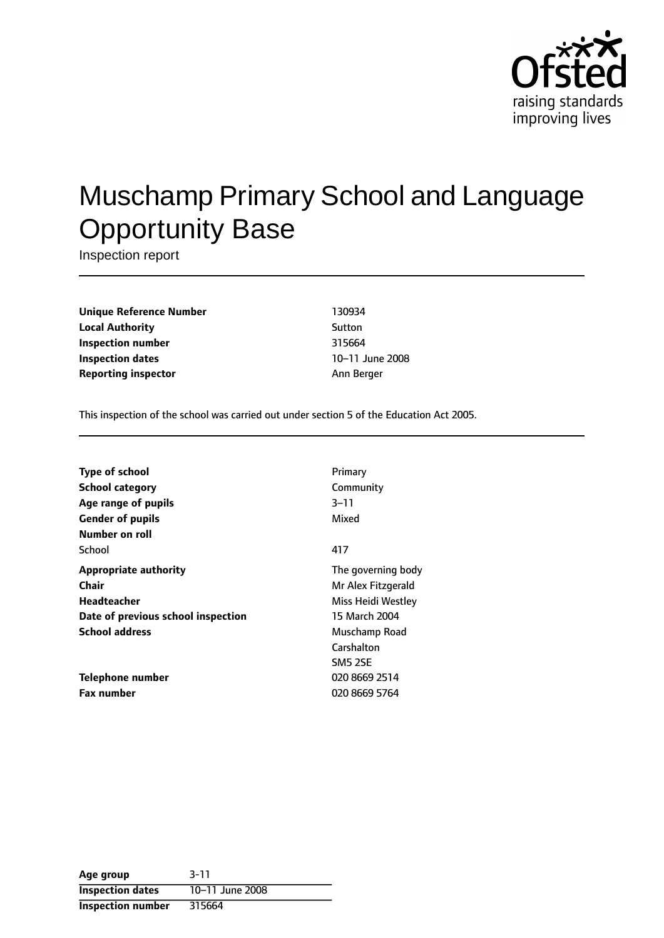

# Muschamp Primary School and Language Opportunity Base

Inspection report

**Unique Reference Number** 130934 **Local Authority** Sutton **Inspection number** 315664 **Inspection dates** 10-11 June 2008 **Reporting inspector** Ann Berger

This inspection of the school was carried out under section 5 of the Education Act 2005.

| Primary            |
|--------------------|
| Community          |
| $3 - 11$           |
| Mixed              |
|                    |
| 417                |
| The governing body |
| Mr Alex Fitzgerald |
| Miss Heidi Westley |
| 15 March 2004      |
| Muschamp Road      |
| Carshalton         |
| <b>SM5 2SE</b>     |
| 020 8669 2514      |
| 020 8669 5764      |
|                    |

| Age group                | $3 - 11$        |
|--------------------------|-----------------|
| <b>Inspection dates</b>  | 10-11 June 2008 |
| <b>Inspection number</b> | 315664          |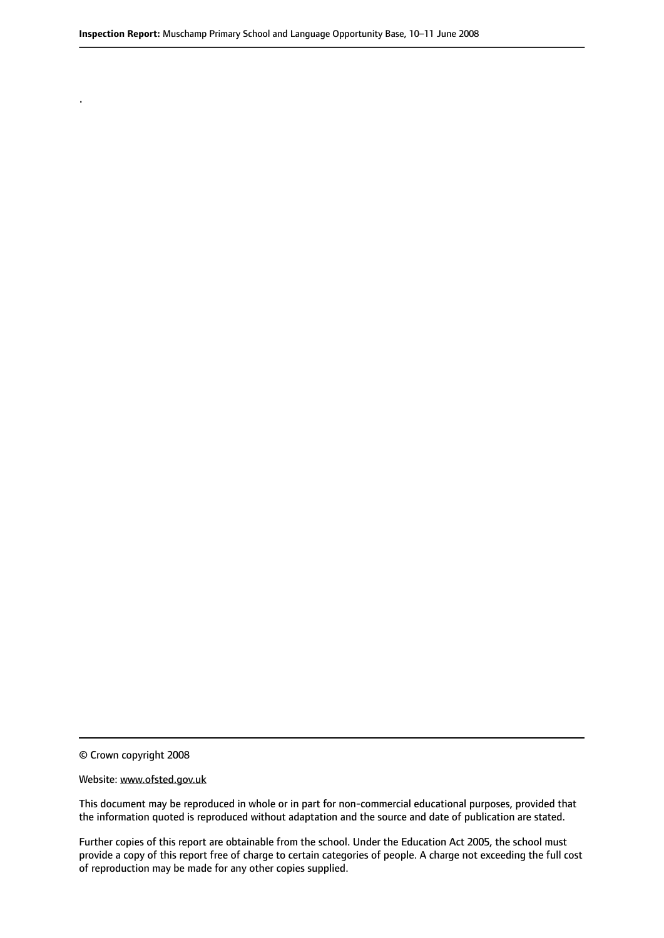© Crown copyright 2008

.

#### Website: www.ofsted.gov.uk

This document may be reproduced in whole or in part for non-commercial educational purposes, provided that the information quoted is reproduced without adaptation and the source and date of publication are stated.

Further copies of this report are obtainable from the school. Under the Education Act 2005, the school must provide a copy of this report free of charge to certain categories of people. A charge not exceeding the full cost of reproduction may be made for any other copies supplied.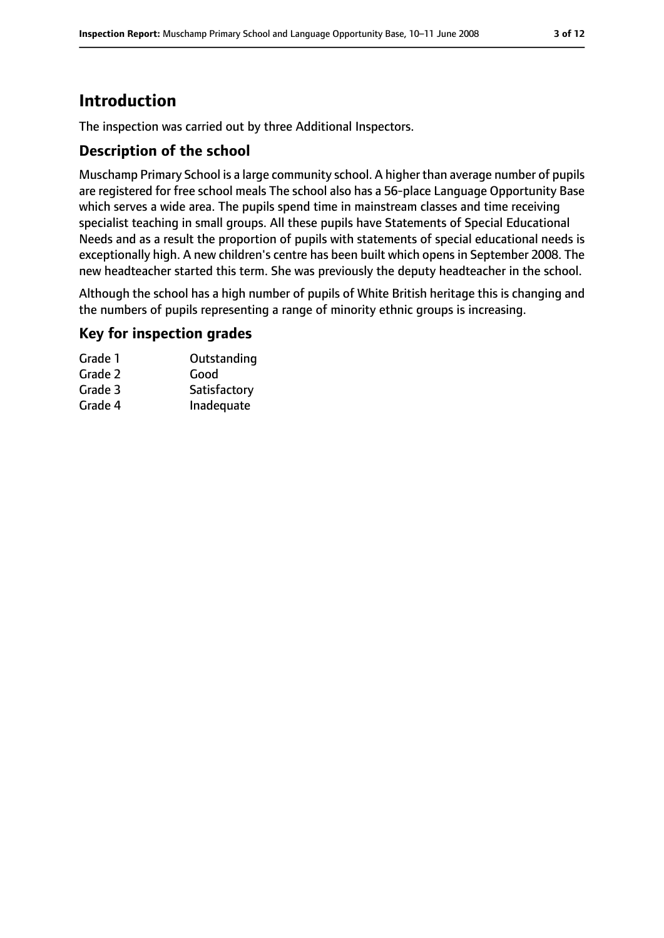# **Introduction**

The inspection was carried out by three Additional Inspectors.

#### **Description of the school**

Muschamp Primary School is a large community school. A higher than average number of pupils are registered for free school meals The school also has a 56-place Language Opportunity Base which serves a wide area. The pupils spend time in mainstream classes and time receiving specialist teaching in small groups. All these pupils have Statements of Special Educational Needs and as a result the proportion of pupils with statements of special educational needs is exceptionally high. A new children's centre has been built which opens in September 2008. The new headteacher started this term. She was previously the deputy headteacher in the school.

Although the school has a high number of pupils of White British heritage this is changing and the numbers of pupils representing a range of minority ethnic groups is increasing.

#### **Key for inspection grades**

| Outstanding  |
|--------------|
| Good         |
| Satisfactory |
| Inadequate   |
|              |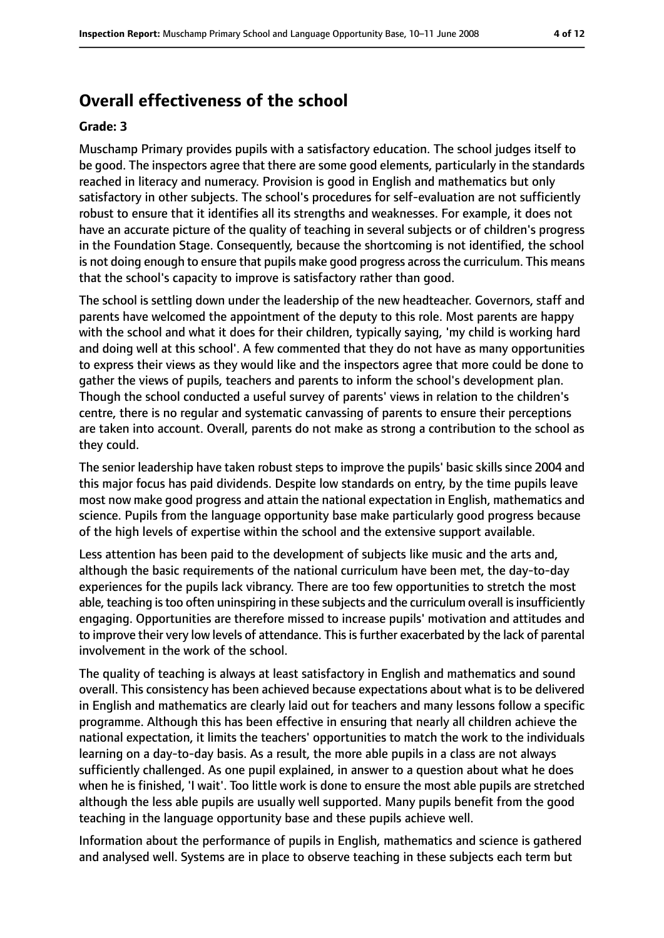# **Overall effectiveness of the school**

#### **Grade: 3**

Muschamp Primary provides pupils with a satisfactory education. The school judges itself to be good. The inspectors agree that there are some good elements, particularly in the standards reached in literacy and numeracy. Provision is good in English and mathematics but only satisfactory in other subjects. The school's procedures for self-evaluation are not sufficiently robust to ensure that it identifies all its strengths and weaknesses. For example, it does not have an accurate picture of the quality of teaching in several subjects or of children's progress in the Foundation Stage. Consequently, because the shortcoming is not identified, the school is not doing enough to ensure that pupils make good progress acrossthe curriculum. This means that the school's capacity to improve is satisfactory rather than good.

The school is settling down under the leadership of the new headteacher. Governors, staff and parents have welcomed the appointment of the deputy to this role. Most parents are happy with the school and what it does for their children, typically saying, 'my child is working hard and doing well at this school'. A few commented that they do not have as many opportunities to express their views as they would like and the inspectors agree that more could be done to gather the views of pupils, teachers and parents to inform the school's development plan. Though the school conducted a useful survey of parents' views in relation to the children's centre, there is no regular and systematic canvassing of parents to ensure their perceptions are taken into account. Overall, parents do not make as strong a contribution to the school as they could.

The senior leadership have taken robust steps to improve the pupils' basic skills since 2004 and this major focus has paid dividends. Despite low standards on entry, by the time pupils leave most now make good progress and attain the national expectation in English, mathematics and science. Pupils from the language opportunity base make particularly good progress because of the high levels of expertise within the school and the extensive support available.

Less attention has been paid to the development of subjects like music and the arts and, although the basic requirements of the national curriculum have been met, the day-to-day experiences for the pupils lack vibrancy. There are too few opportunities to stretch the most able, teaching is too often uninspiring in these subjects and the curriculum overall is insufficiently engaging. Opportunities are therefore missed to increase pupils' motivation and attitudes and to improve their very low levels of attendance. This is further exacerbated by the lack of parental involvement in the work of the school.

The quality of teaching is always at least satisfactory in English and mathematics and sound overall. This consistency has been achieved because expectations about what is to be delivered in English and mathematics are clearly laid out for teachers and many lessons follow a specific programme. Although this has been effective in ensuring that nearly all children achieve the national expectation, it limits the teachers' opportunities to match the work to the individuals learning on a day-to-day basis. As a result, the more able pupils in a class are not always sufficiently challenged. As one pupil explained, in answer to a question about what he does when he is finished, 'I wait'. Too little work is done to ensure the most able pupils are stretched although the less able pupils are usually well supported. Many pupils benefit from the good teaching in the language opportunity base and these pupils achieve well.

Information about the performance of pupils in English, mathematics and science is gathered and analysed well. Systems are in place to observe teaching in these subjects each term but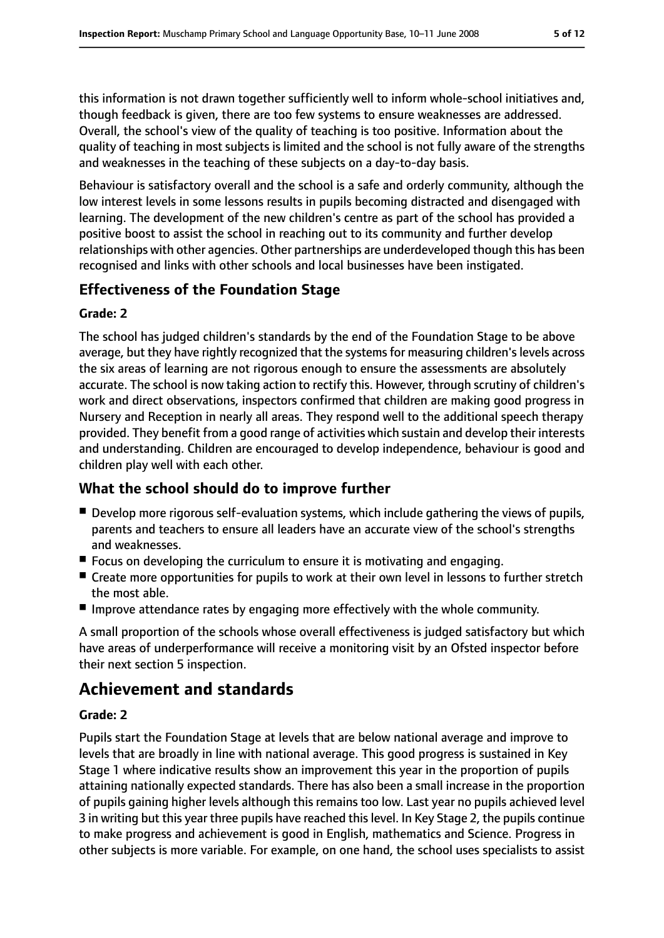this information is not drawn together sufficiently well to inform whole-school initiatives and, though feedback is given, there are too few systems to ensure weaknesses are addressed. Overall, the school's view of the quality of teaching is too positive. Information about the quality of teaching in most subjects is limited and the school is not fully aware of the strengths and weaknesses in the teaching of these subjects on a day-to-day basis.

Behaviour is satisfactory overall and the school is a safe and orderly community, although the low interest levels in some lessons results in pupils becoming distracted and disengaged with learning. The development of the new children's centre as part of the school has provided a positive boost to assist the school in reaching out to its community and further develop relationships with other agencies. Other partnerships are underdeveloped though this has been recognised and links with other schools and local businesses have been instigated.

### **Effectiveness of the Foundation Stage**

#### **Grade: 2**

The school has judged children's standards by the end of the Foundation Stage to be above average, but they have rightly recognized that the systems for measuring children's levels across the six areas of learning are not rigorous enough to ensure the assessments are absolutely accurate. The school is now taking action to rectify this. However, through scrutiny of children's work and direct observations, inspectors confirmed that children are making good progress in Nursery and Reception in nearly all areas. They respond well to the additional speech therapy provided. They benefit from a good range of activities which sustain and develop their interests and understanding. Children are encouraged to develop independence, behaviour is good and children play well with each other.

### **What the school should do to improve further**

- Develop more rigorous self-evaluation systems, which include gathering the views of pupils, parents and teachers to ensure all leaders have an accurate view of the school's strengths and weaknesses.
- Focus on developing the curriculum to ensure it is motivating and engaging.
- Create more opportunities for pupils to work at their own level in lessons to further stretch the most able.
- Improve attendance rates by engaging more effectively with the whole community.

A small proportion of the schools whose overall effectiveness is judged satisfactory but which have areas of underperformance will receive a monitoring visit by an Ofsted inspector before their next section 5 inspection.

# **Achievement and standards**

#### **Grade: 2**

Pupils start the Foundation Stage at levels that are below national average and improve to levels that are broadly in line with national average. This good progress is sustained in Key Stage 1 where indicative results show an improvement this year in the proportion of pupils attaining nationally expected standards. There has also been a small increase in the proportion of pupils gaining higher levels although this remains too low. Last year no pupils achieved level 3 in writing but this year three pupils have reached this level. In Key Stage 2, the pupils continue to make progress and achievement is good in English, mathematics and Science. Progress in other subjects is more variable. For example, on one hand, the school uses specialists to assist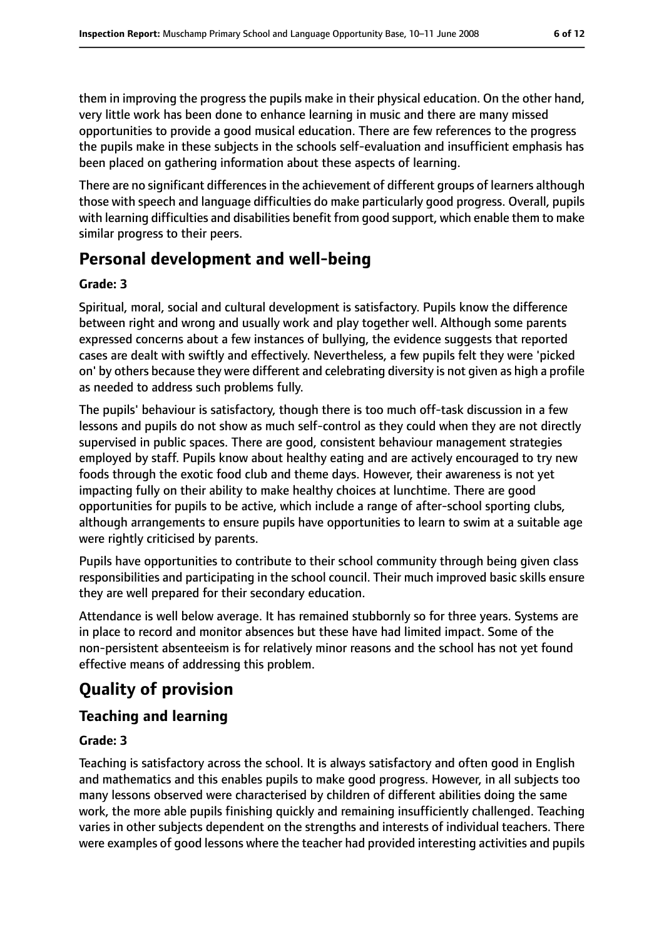them in improving the progress the pupils make in their physical education. On the other hand, very little work has been done to enhance learning in music and there are many missed opportunities to provide a good musical education. There are few references to the progress the pupils make in these subjects in the schools self-evaluation and insufficient emphasis has been placed on gathering information about these aspects of learning.

There are no significant differences in the achievement of different groups of learners although those with speech and language difficulties do make particularly good progress. Overall, pupils with learning difficulties and disabilities benefit from good support, which enable them to make similar progress to their peers.

# **Personal development and well-being**

### **Grade: 3**

Spiritual, moral, social and cultural development is satisfactory. Pupils know the difference between right and wrong and usually work and play together well. Although some parents expressed concerns about a few instances of bullying, the evidence suggests that reported cases are dealt with swiftly and effectively. Nevertheless, a few pupils felt they were 'picked on' by others because they were different and celebrating diversity is not given as high a profile as needed to address such problems fully.

The pupils' behaviour is satisfactory, though there is too much off-task discussion in a few lessons and pupils do not show as much self-control as they could when they are not directly supervised in public spaces. There are good, consistent behaviour management strategies employed by staff. Pupils know about healthy eating and are actively encouraged to try new foods through the exotic food club and theme days. However, their awareness is not yet impacting fully on their ability to make healthy choices at lunchtime. There are good opportunities for pupils to be active, which include a range of after-school sporting clubs, although arrangements to ensure pupils have opportunities to learn to swim at a suitable age were rightly criticised by parents.

Pupils have opportunities to contribute to their school community through being given class responsibilities and participating in the school council. Their much improved basic skills ensure they are well prepared for their secondary education.

Attendance is well below average. It has remained stubbornly so for three years. Systems are in place to record and monitor absences but these have had limited impact. Some of the non-persistent absenteeism is for relatively minor reasons and the school has not yet found effective means of addressing this problem.

# **Quality of provision**

# **Teaching and learning**

### **Grade: 3**

Teaching is satisfactory across the school. It is always satisfactory and often good in English and mathematics and this enables pupils to make good progress. However, in all subjects too many lessons observed were characterised by children of different abilities doing the same work, the more able pupils finishing quickly and remaining insufficiently challenged. Teaching varies in other subjects dependent on the strengths and interests of individual teachers. There were examples of good lessons where the teacher had provided interesting activities and pupils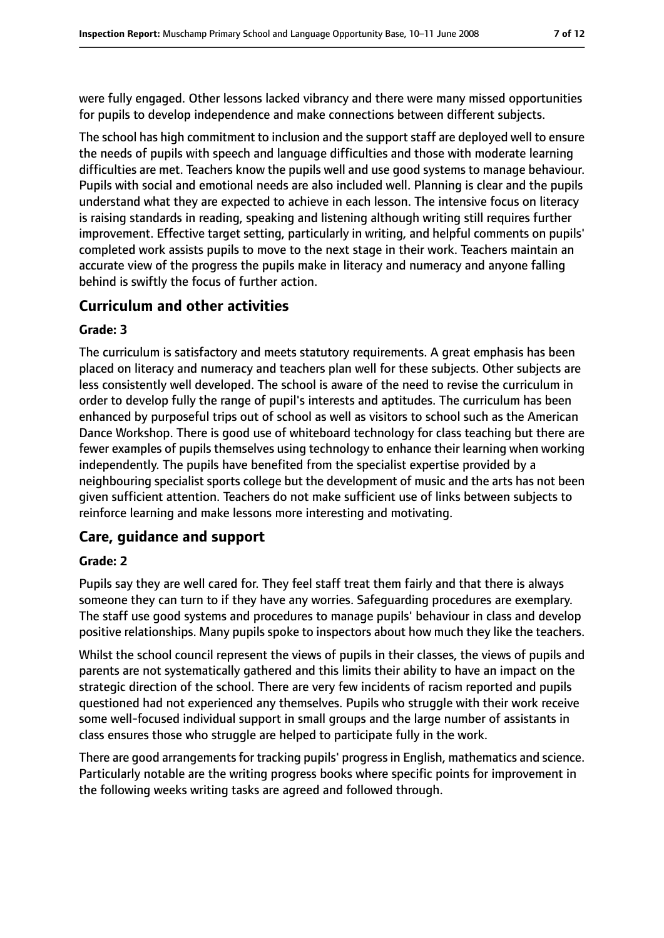were fully engaged. Other lessons lacked vibrancy and there were many missed opportunities for pupils to develop independence and make connections between different subjects.

The school has high commitment to inclusion and the support staff are deployed well to ensure the needs of pupils with speech and language difficulties and those with moderate learning difficulties are met. Teachers know the pupils well and use good systems to manage behaviour. Pupils with social and emotional needs are also included well. Planning is clear and the pupils understand what they are expected to achieve in each lesson. The intensive focus on literacy is raising standards in reading, speaking and listening although writing still requires further improvement. Effective target setting, particularly in writing, and helpful comments on pupils' completed work assists pupils to move to the next stage in their work. Teachers maintain an accurate view of the progress the pupils make in literacy and numeracy and anyone falling behind is swiftly the focus of further action.

### **Curriculum and other activities**

#### **Grade: 3**

The curriculum is satisfactory and meets statutory requirements. A great emphasis has been placed on literacy and numeracy and teachers plan well for these subjects. Other subjects are less consistently well developed. The school is aware of the need to revise the curriculum in order to develop fully the range of pupil's interests and aptitudes. The curriculum has been enhanced by purposeful trips out of school as well as visitors to school such as the American Dance Workshop. There is good use of whiteboard technology for class teaching but there are fewer examples of pupils themselves using technology to enhance their learning when working independently. The pupils have benefited from the specialist expertise provided by a neighbouring specialist sports college but the development of music and the arts has not been given sufficient attention. Teachers do not make sufficient use of links between subjects to reinforce learning and make lessons more interesting and motivating.

#### **Care, guidance and support**

#### **Grade: 2**

Pupils say they are well cared for. They feel staff treat them fairly and that there is always someone they can turn to if they have any worries. Safeguarding procedures are exemplary. The staff use good systems and procedures to manage pupils' behaviour in class and develop positive relationships. Many pupils spoke to inspectors about how much they like the teachers.

Whilst the school council represent the views of pupils in their classes, the views of pupils and parents are not systematically gathered and this limits their ability to have an impact on the strategic direction of the school. There are very few incidents of racism reported and pupils questioned had not experienced any themselves. Pupils who struggle with their work receive some well-focused individual support in small groups and the large number of assistants in class ensures those who struggle are helped to participate fully in the work.

There are good arrangements for tracking pupils' progress in English, mathematics and science. Particularly notable are the writing progress books where specific points for improvement in the following weeks writing tasks are agreed and followed through.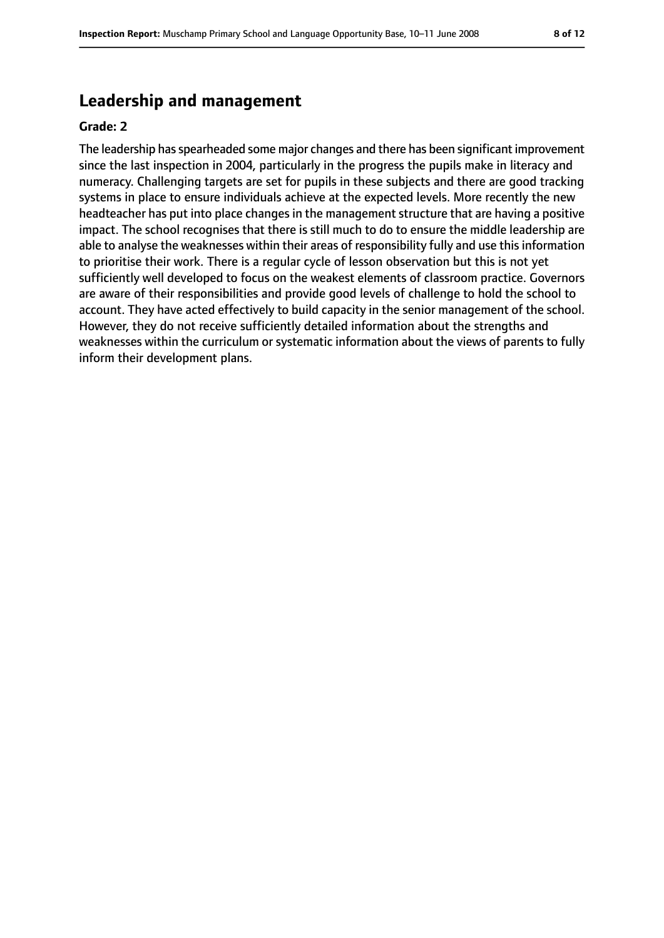### **Leadership and management**

#### **Grade: 2**

The leadership hasspearheaded some major changes and there has been significant improvement since the last inspection in 2004, particularly in the progress the pupils make in literacy and numeracy. Challenging targets are set for pupils in these subjects and there are good tracking systems in place to ensure individuals achieve at the expected levels. More recently the new headteacher has put into place changes in the management structure that are having a positive impact. The school recognises that there is still much to do to ensure the middle leadership are able to analyse the weaknesses within their areas of responsibility fully and use this information to prioritise their work. There is a regular cycle of lesson observation but this is not yet sufficiently well developed to focus on the weakest elements of classroom practice. Governors are aware of their responsibilities and provide good levels of challenge to hold the school to account. They have acted effectively to build capacity in the senior management of the school. However, they do not receive sufficiently detailed information about the strengths and weaknesses within the curriculum or systematic information about the views of parents to fully inform their development plans.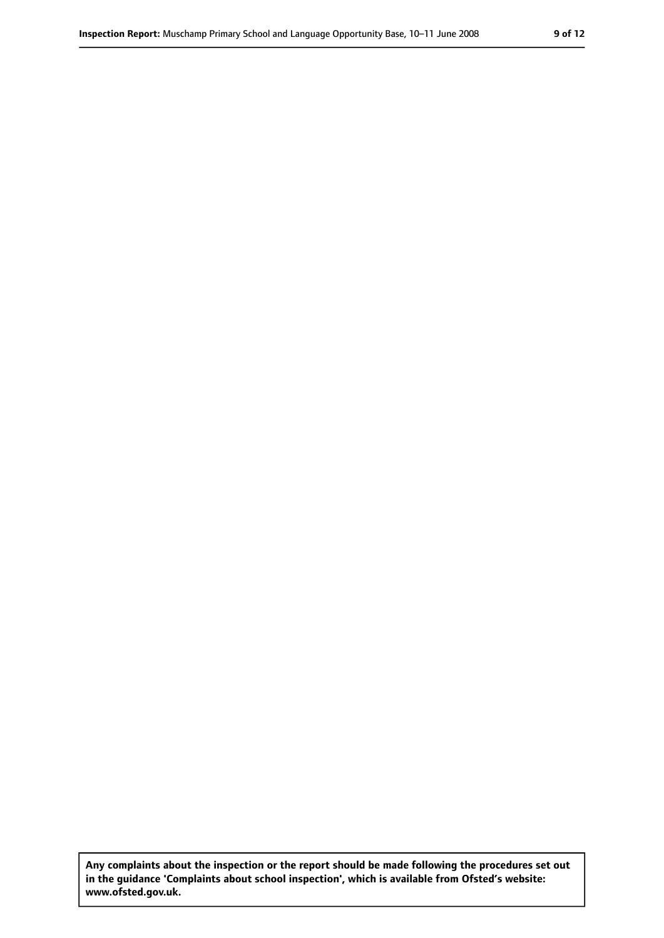**Any complaints about the inspection or the report should be made following the procedures set out in the guidance 'Complaints about school inspection', which is available from Ofsted's website: www.ofsted.gov.uk.**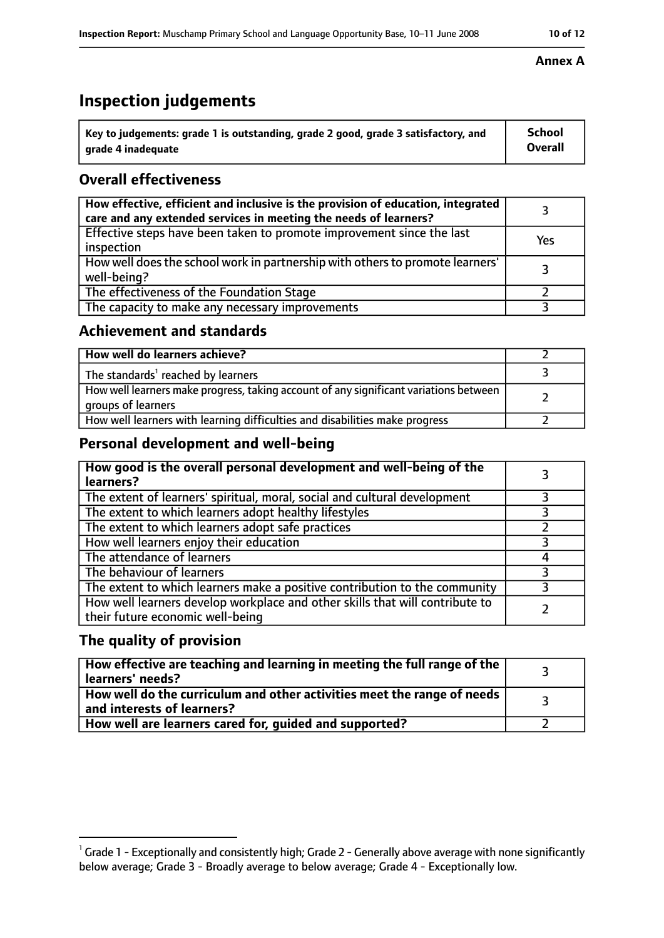# **Inspection judgements**

| ˈ Key to judgements: grade 1 is outstanding, grade 2 good, grade 3 satisfactory, and | <b>School</b>  |
|--------------------------------------------------------------------------------------|----------------|
| grade 4 inadequate                                                                   | <b>Overall</b> |

### **Overall effectiveness**

| How effective, efficient and inclusive is the provision of education, integrated<br>care and any extended services in meeting the needs of learners? |     |
|------------------------------------------------------------------------------------------------------------------------------------------------------|-----|
| Effective steps have been taken to promote improvement since the last<br>inspection                                                                  | Yes |
| How well does the school work in partnership with others to promote learners'<br>well-being?                                                         |     |
| The effectiveness of the Foundation Stage                                                                                                            |     |
| The capacity to make any necessary improvements                                                                                                      |     |

#### **Achievement and standards**

| How well do learners achieve?                                                                               |  |
|-------------------------------------------------------------------------------------------------------------|--|
| The standards <sup>1</sup> reached by learners                                                              |  |
| How well learners make progress, taking account of any significant variations between<br>groups of learners |  |
| How well learners with learning difficulties and disabilities make progress                                 |  |

### **Personal development and well-being**

| How good is the overall personal development and well-being of the<br>learners?                                  |  |
|------------------------------------------------------------------------------------------------------------------|--|
| The extent of learners' spiritual, moral, social and cultural development                                        |  |
| The extent to which learners adopt healthy lifestyles                                                            |  |
| The extent to which learners adopt safe practices                                                                |  |
| How well learners enjoy their education                                                                          |  |
| The attendance of learners                                                                                       |  |
| The behaviour of learners                                                                                        |  |
| The extent to which learners make a positive contribution to the community                                       |  |
| How well learners develop workplace and other skills that will contribute to<br>their future economic well-being |  |

### **The quality of provision**

| How effective are teaching and learning in meeting the full range of the<br>learners' needs?          |  |
|-------------------------------------------------------------------------------------------------------|--|
| How well do the curriculum and other activities meet the range of needs<br>and interests of learners? |  |
| How well are learners cared for, guided and supported?                                                |  |

#### **Annex A**

 $^1$  Grade 1 - Exceptionally and consistently high; Grade 2 - Generally above average with none significantly below average; Grade 3 - Broadly average to below average; Grade 4 - Exceptionally low.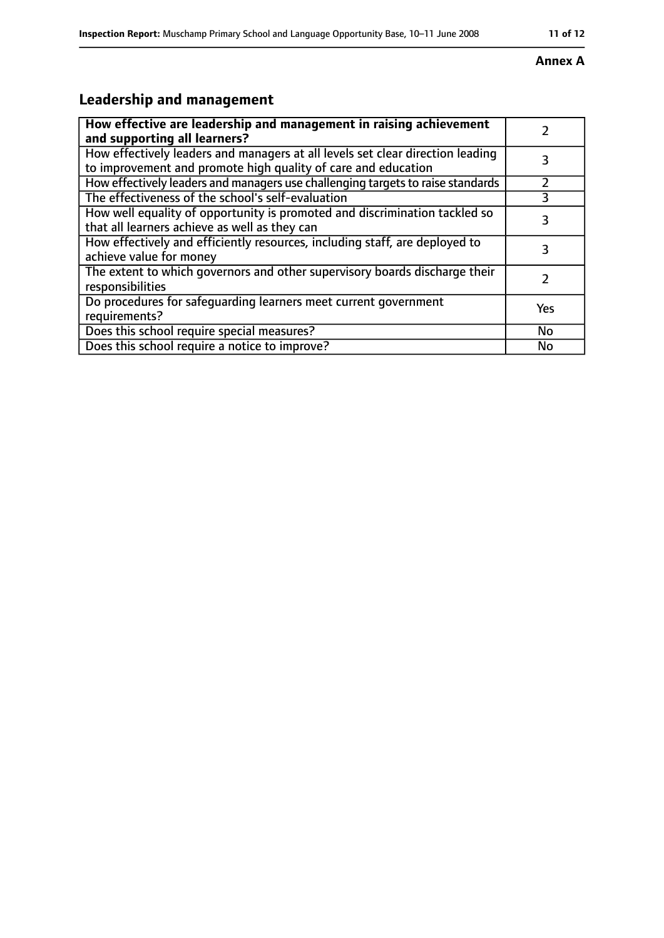### **Annex A**

# **Leadership and management**

| How effective are leadership and management in raising achievement<br>and supporting all learners?                                              |     |
|-------------------------------------------------------------------------------------------------------------------------------------------------|-----|
| How effectively leaders and managers at all levels set clear direction leading<br>to improvement and promote high quality of care and education |     |
| How effectively leaders and managers use challenging targets to raise standards                                                                 |     |
| The effectiveness of the school's self-evaluation                                                                                               | 3   |
| How well equality of opportunity is promoted and discrimination tackled so<br>that all learners achieve as well as they can                     | 3   |
| How effectively and efficiently resources, including staff, are deployed to<br>achieve value for money                                          | 3   |
| The extent to which governors and other supervisory boards discharge their<br>responsibilities                                                  |     |
| Do procedures for safequarding learners meet current government<br>requirements?                                                                | Yes |
| Does this school require special measures?                                                                                                      | No  |
| Does this school require a notice to improve?                                                                                                   | No  |